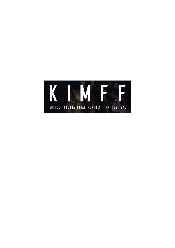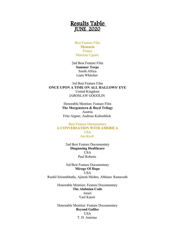# Results Table JUNE 2020

Best Feature Film **Memoria** France Marceau Uguen

2nd Best Feature Film **Summer Torpe** South Africa Liam Whitcher

3rd Best Feature Film **ONCE UPON A TIME ON ALL HALLOWS' EVE** United Kingdom JAROSLAW GOGOLIN

> Honorable Mention: Feature Film **The Morgenstern & Boyd Trilogy** Austria Fritz Aigner, Andreas Kaltenböck

### Best Feature Documentary **A CONVERSATION WITH AMERICA USA** Jim Kroft

2nd Best Feature Documentary **Diagnosing Healthcare USA** Paul Roberts

3rd Best Feature Documentary **Mirage Of Hope USA** Rushil Srirambhatla, Ajitesh Mishra, Abhinav Ramavath

> Honorable Mention: Feature Documentary **The Alabnian Code** Israel Yael Katzir

Honorable Mention: Feature Documentary **Beyond Galilee** USA T. D. Antoine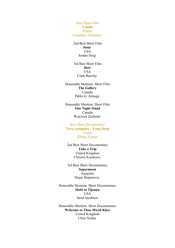Best Short Film **Vanilla** France Géraldine Alluaume

2nd Best Short Film **Susie USA** Jordan Doig

3rd Best Short Film **Heir** USA Clark Barclay

Honorable Mention: Short Film **The Gallery** Canada Pablo G. Arteaga

Honorable Mention: Short Film **One Night Stand** Canada Wojciech Zielinski

Best Short Documentary **Tuva youngster - Yong Deng** China Zhang Xiquan

2nd Best Short Documentary **Take a Trip** United Kingdom Christos Karakasis

3rd Best Short Documentary **Supermoon** Australia Dejan Stepanovic

Honorable Mention: Short Documentary **Haiti to Tijuana** USA Jared Jacobsen

Honorable Mention: Short Documentary **Welcome to Thoo Mweh Khee** United Kingdom Chris Neilan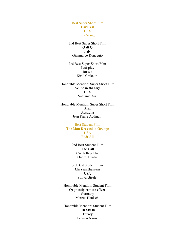Best Super Short Film **Carnival USA** Lia Wang

2nd Best Super Short Film **Q di Q** Italy Gianmarco Donaggio

3rd Best Super Short Film **Just play** Russia Kirill Chikalin

Honorable Mention: Super Short Film **Willie in the Sky** USA Nathaniël Siri

Honorable Mention: Super Short Film **Alex** Australia Jean Pierre Addinall

> Best Student Film **The Man Dressed in Orange** USA Elvir Ali

> > 2nd Best Student Film **The Call** Czech Republic Ondřej Burda

> > 3rd Best Student Film **Chrysanthemum** USA Suliya Gisele

Honorable Mention: Student Film **Q: ghostly remote effect**  Germany Marcus Hanisch

Honorable Mention: Student Film **PÍRABOK** Turkey Ferman Narin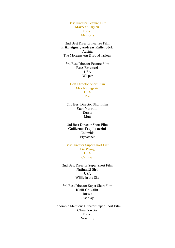Best Director Feature Film **Marceau Uguen**  France Memoria

2nd Best Director Feature Film **Fritz Aigner, Andreas Kaltenböck**  Austria The Morgenstern & Boyd Trilogy

3rd Best Director Feature Film **Russ Emanuel**  USA Wisper

Best Director Short Film **Alex Rudegeair**  USA **Dirt** 

2nd Best Director Short Film **Egor Voronin**  Russia Mutt

3rd Best Director Short Film **Guillermo Trujillo accini**  Colombia Flycatcher

Best Director Super Short Film **Lia Wang**  USA Carnival

2nd Best Director Super Short Film **Nathaniël Siri**  USA Willie in the Sky

3rd Best Director Super Short Film **Kirill Chikalin**  Russia Just play

Honorable Mention: Director Super Short Film **Chris Garcia**  France New Life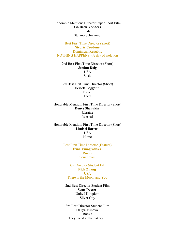Honorable Mention: Director Super Short Film **Go Back 3 Spaces** Italy Stefano Schiavone

Best First Time Director (Short) **Nicolás Cordone**  Dominican Republic NOTHING HAPPENS - A day of isolation

2nd Best First Time Director (Short) **Jordan Doig** USA Susie

3rd Best First Time Director (Short) **Feriele Beggour**  France Tacet

Honorable Mention: First Time Director (Short) **Denys Shchukin**  Ukraine Wasted

Honorable Mention: First Time Director (Short) **Lindsei Barros**  USA Home

> Best First Time Director (Feature) **Irina Vinogradova**  Russia Sour cream

Best Director Student Film **Nick Zhang**  USA There is the Moon, and You

2nd Best Director Student Film **Scott Dexter**  United Kingdom Silver City

3rd Best Director Student Film **Darya Firsova**  Russia They faced at the bakery…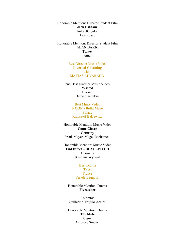Honorable Mention: Director Student Film **Jack Latham**  United Kingdom Headspace

Honorable Mention: Director Student Film **ALAN BAKR**  Turkey Amal

> Best Director Music Video **Inverted Gloaming** Chile MATIAS ALVARADO

2nd Best Director Music Video **Wasted** Ukraine Denys Shchukin

> Best Music Video **NOON - Delta Mare** Poland Krzysztof Balcewicz

Honorable Mention: Music Video **Come Closer** Germany Frank Meyer, Maged Mohamed

Honorable Mention: Music Video **End Effect – BLACKPITCH** Germany Karolina Wyrwal

# Best Drama **Tacet** France Feriele Beggour

Honorable Mention: Drama **Flycatcher**

Colombia Guillermo Trujillo Accini

Honorable Mention: Drama **The Mole** Belgium Ambrose Smoke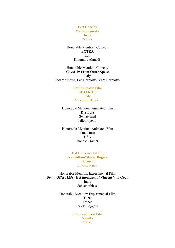Best Comedy **Manasanamaha** India Deepak

Honorable Mention: Comedy **EXTRA** Iran Kioumars Ahmadi

Honorable Mention: Comedy **Covid-19 From Outer Space** Italy Edoardo Nervi, Lea Borniotto, Vera Borniotto

> Best Animated Film **BEATRICE** Italy Vincenzo De Sio

Honorable Mention: Animated Film **Dystopia** Switzerland bellopropello

Honorable Mention: Animated Film **The Chair** USA Ronnie Cramer

> Best Experimental Film **Iva Bedlam/Shiner Dogma** Belgium Luyckx Jonas

Honorable Mention: Experimental Film **Death Offers Life - last moments of Vincent Van Gogh** India Saheer Abbas

> Honorable Mention: Experimental Film **Tacet** France Feriele Beggour

> > Best Indie Short Film **Vanilla** France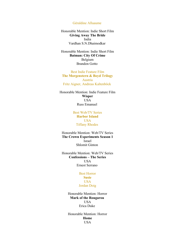Géraldine Alluaume

Honorable Mention: Indie Short Film **Giving Away The Bride** India Vardhan S.N.Dhaimodkar

Honorable Mention: Indie Short Film **Batman: City Of Crime** Belgium Brandon Gotto

Best Indie Feature Film **The Morgenstern & Boyd Trilogy** Austria Fritz Aigner, Andreas Kaltenböck

Honorable Mention: Indie Feature Film **Wisper** USA Russ Emanuel

> Best Web/TV Series **Harbor Island** USA Tiffany Rhodes

Honorable Mention: Web/TV Series **The Crown Experiments Season 1** Israel Shlomit Ginton

Honorable Mention: Web/TV Series **Confessions – The Series** USA Ernest Serrano

### Best Horror **Susie** USA Jordan Doig

Honorable Mention: Horror **Mark of the Rougarou USA** Erica Duke

Honorable Mention: Horror **Home** USA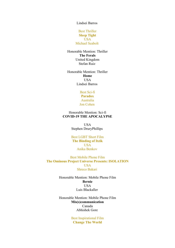Lindsei Barros

# Best Thriller **Sleep Tight** USA Michael Seabolt

Honorable Mention: Thriller **The Ferals** United Kingdom Stefan Ruiz

Honorable Mention: Thriller **Home** USA Lindsei Barros

> Best Sci-fi **Paradox** Australia Jon Cohen

Honorable Mention: Sci-fi **COVID-19 THE APOCALYPSE**

> USA Stephen DruryPhillips

Best LGBT Short Film **The Binding of Itzik USA** Anika Benkov

Best Mobile Phone Film **The Ominous Project Universe Presents: ISOLATION** USA Shreco Bakari

> Honorable Mention: Mobile Phone Film **Bernie** USA Luis Blackaller

> Honorable Mention: Mobile Phone Film **Mis(s)communication** Canada Abhishek Gore

> > Best Inspirational Film **Change The World**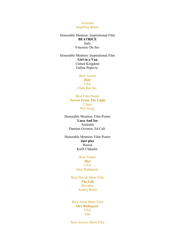Australia Angelena Bonet

Honorable Mention: Inspirational Film **BEATRICE** Italy Vincenzo De Sio

Honorable Mention: Inspirational Film **Girl in a Van** United Kingdom Galina Popovic

> Best Action **Heir** USA Clark Barclay

Best Film Poster **Terror From The Light** China Wei Geng

Honorable Mention: Film Poster **Luca And Iso** Australia Damian Overton, Ed Cali

Honorable Mention: Film Poster **Just play** Russia Kirill Chikalin

# Best Trailer **Dirt** USA Alex Rudegeair

Best Slovak Short Film **The Gift** Slovakia Andrej Hofer

Best Actor Short Film **Alex Rudegeair** USA Dirt

Best Actress Short Film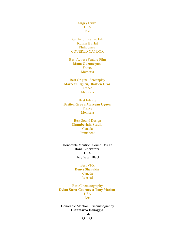**Sugey Cruz** USA **Dirt** 

Best Actor Feature Film **Romm Burlat** Philippines COVERED CANDOR

Best Actress Feature Film **Mona Guennegues**  France Memoria

Best Original Screenplay **Marceau Uguen, Bastien Gros**  France Memoria

Best Editing **Bastien Gros a Marceau Uguen** France Memoria

> Best Sound Design **Chamberlain Studio**  Canada Immanent

Honorable Mention: Sound Design **Dane Liberatore USA** They Wear Black

> Best VFX **Denys Shchukin**  Canada Wasted

Best Cinematography **Dylan Stern-Courney a Tony Marion**  USA **Dirt** 

Honorable Mention: Cinematography **Gianmarco Donaggio** Italy Q di Q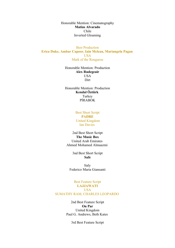Honorable Mention: Cinematography **Matias Alvarado** Chile Inverted Gloaming

Best Production **Erica Duke, Ambar Capoor, Iain Mclean, Mariangela Pagan** USA Mark of the Rougarou

> Honorable Mention: Production **Alex Rudegeair** USA Dirt

> Honorable Mention: Production **Kendal Öztürk**  Turkey PİRABOK

> > Best Short Script **PADRE** United Kingdom Ian Davies

2nd Best Short Script **The Music Box** United Arab Emirates Ahmed Mohamed Almaazmi

> 3nd Best Short Script **Safe**

Italy Federico Maria Giansanti

## Best Feature Script **LAJJAWATI USA** SUMATHY RAM, CHARLES LEOPARDO

2nd Best Feature Script **On Par** United Kingdom Paul G. Andrews, Beth Kates

3rd Best Feature Script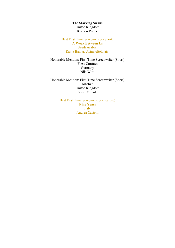**The Starving Swans** United Kingdom Karlton Parris

Best First Time Screenwriter (Short) **A Week Between Us** Saudi Arabia Rayia Banjar, Asim Altokhais

Honorable Mention: First Time Screenwriter (Short) **First Contact** Germany Nils Witt

Honorable Mention: First Time Screenwriter (Short) **Kitchen** United Kingdom Vasil Mihail

> Best First Time Screenwritter (Feature) **Nine Years** Italy Andrea Castelli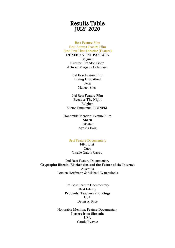# Results Table JULY 2020

### Best Feature Film Best Actress Feature Film Best First Time Director (Feature)

**L'ENFER N'EST PAS LOIN**

Belgium Director: Brandon Gotto Actress: Margaux Colarusso

> 2nd Best Feature Film **Living Unscathed** Peru Manuel Siles

3rd Best Feature Film **Because The Night** Belgium Victor-Emmanuel BOINEM

Honorable Mention: Feature Film **Sheru** Pakistan Ayesha Baig

# Best Feature Documentary

**Fifth List**  Cuba Giselle Garcia Castro

2nd Best Feature Documentary **Cryptopia: Bitcoin, Blockchains and the Future of the Internet** Australia Torsten Hoffmann & Michael Watchulonis

> 3rd Best Feature Documentary Best Editing **Prophets, Teachers and Kings** USA Devin A. Rice

Honorable Mention: Feature Documentary **Letters from Slovenia USA** Carole Ryavec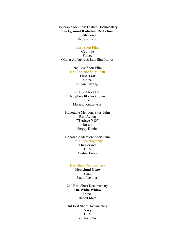Honorable Mention: Feature Documentary **Background Radiation Reflection** South Korea HeeSueKwon

### Best Short Film

**Gentil.le** France Olivier Aufauvre & Lauréline Kuntz

> 2nd Best Short Film Best Director Short Film

> > **First, Last** China Ruiyin Ouyang

3rd Best Short Film **No place like lockdown** Poland Mariusz Kuczewski

Honorable Mention: Short Film Best Action **"Trainee N13"** Russia Sergey Donin

Honorable Mention: Short Film Best Cinematography **The Service**

**USA** Austin Bowen

#### Best Short Documentary

**Homeland Gone** Spain Laura Lavinia

2nd Best Short Documentary **The White Widow** France Benoît Mars

3rd Best Short Documentary **Gary** USA Yunhong Pu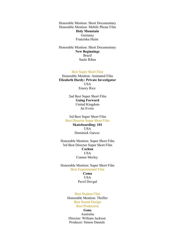Honorable Mention: Short Documentary Honorable Mention: Mobile Phone Film **Holy Mountain** Germany Franziska Heim

Honorable Mention: Short Documentary **New Beginnings** Brazil Saulo Ribas

Best Super Short Film

Honorable Mention: Animated Film **Elizabeth Hardy: Private Investigator** USA Emory Rice

> 2nd Best Super Short Film **Going Forward** United Kingdom Jai Evora

3rd Best Super Short Film Best Director Super Short Film **Skateboarding: 101** USA Dominick Garcez

Honorable Mention: Super Short Film 3rd Best Director Super Short Film **Cochon USA** Connor Morley

Honorable Mention: Super Short Film Best Experimental Film **Coma** USA Pavel Dovgal

> Best Student Film Honorable Mention: Thriller Best Sound Design Best Production

> > **Gone** Australia

Director: William Jackson Producer: Simon Daniele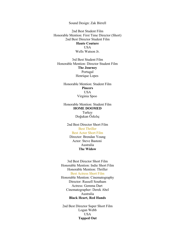Sound Design: Zak Birrell

2nd Best Student Film Honorable Mention: First Time Director (Short) 2nd Best Director Student Film **Haute Couture USA** Wells Watson Jr.

3rd Best Student Film Honorable Mention: Director Student Film **The Journey** Portugal Henrique Lopes

Honorable Mention: Student Film **Pincers** USA Virginia Spoo

Honorable Mention: Student Film **HOME DOOMED** Turkey Doğukan Özkılıç

2nd Best Director Short Film Best Thriller Best Actor Short Film Director: Brendan Young Actor: Steve Bastoni Australia **The Widow**

3rd Best Director Short Film Honorable Mention: Indie Short Film Honorable Mention: Thriller Best Actress Short Film Honorable Mention: Cinematography Director: Russell Southam Actress: Gemma Dart Cinematographer: Derek Abel Australia **Black Heart, Red Hands**

2nd Best Director Super Short Film Logan Webb USA **Tapped Out**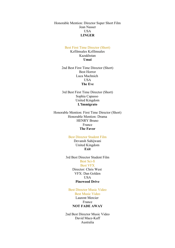Honorable Mention: Director Super Short Film Jean Nasser **USA LINGER**

### Best First Time Director (Short)

Kzfilmsales Kzfilmsales Kazakhstan **Umai**

2nd Best First Time Director (Short) Best Horror Luca Machnich USA **The Eve**

3rd Best First Time Director (Short) Sophia Capasso United Kingdom **L'Immigrato**

Honorable Mention: First Time Director (Short) Honorable Mention: Drama HENRY Bruno France **The Favor**

# Best Director Student Film

Devansh Sahijwani United Kingdom **Exit**

3rd Best Director Student Film Best Sci-fi Best VFX Director: Chris West VFX: Dan Golden USA **Pinewood Drive**

Best Director Music Video Best Music Video Laurent Mercier France **NOT FADE AWAY**

2nd Best Director Music Video David Mace-Kaff Australia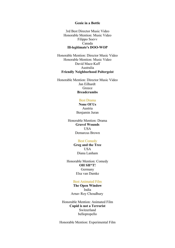### **Genie in a Bottle**

3rd Best Director Music Video Honorable Mention: Music Video Filippo Soevv Canada **Ill-legitimate's DOO-WOP**

Honorable Mention: Director Music Video Honorable Mention: Music Video David Mace-Kaff Australia **Friendly Neighborhood Poltergeist**

Honorable Mention: Director Music Video Jan Eilhardt Greece **Breadcrumbs**

#### Best Drama

**None Of Us** Austria Benjamin Juran

Honorable Mention: Drama **Gravel Wounds** USA Demarcus Brown

# Best Comedy

**Greg and the Tree** USA Diana Lanham

Honorable Mention: Comedy **OH SH\*T!** Germany Elsa van Damke

#### Best Animated Film

**The Open Window** India Arnav Roy Choudhury

Honorable Mention: Animated Film **Cupid is not a Terrorist** Switzerland bellopropello

Honorable Mention: Experimental Film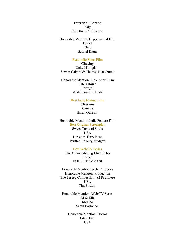**Intertidal. Barene** Italy Collettivo Confluenze

Honorable Mention: Experimental Film **Tanz I** Chile Gabriel Kauer

#### Best Indie Short Film

**Chasing** United Kingdom Steven Calvert & Thomas Blackburne

Honorable Mention: Indie Short Film **The Choice** Portugal Abdelmoula El Hadi

### Best Indie Feature Film

**Charlene** Canada Hasan Qureshi

### Honorable Mention: Indie Feature Film Best Original Screenplay

**Sweet Taste of Souls** USA Director: Terry Ross Writter: Felicity Mudgett

#### Best Web/TV Series

**The Gliwensbourg Chronicles** France EMILIE TOMMASI

Honorable Mention: Web/TV Series Honorable Mention: Production **The Jersey Connection: S2 Premiere** USA Tim Firtion

Honorable Mention: Web/TV Series **Él & Elle** México Sarah Barlondo

> Honorable Mention: Horror **Little One** USA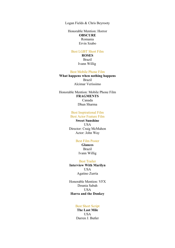Logan Fields & Chris Beyrooty

Honorable Mention: Horror **OBSCURE** Romania Ervin Szabo

#### Best LGBT Short Film

**ROSES** Brazil Ivann Willig

#### Best Mobile Phone Film

**What happens when nothing happens** Brazil Alcimar Veríssimo

Honorable Mention: Mobile Phone Film **FRAGMENTS** Canada Dhun Sharma

> Best Inspirational Film Best Actor Feature Film

**Sweet Sunshine** USA Director: Craig McMahon Actor: John Way

# Best Film Poster

**Glances** Brazil Ivann Willig

Best Trailer **Interview With Marilyn** USA Agatino Zurría

Honorable Mention: VFX Dounia Sabah USA **Harra and the Donkey**

#### Best Short Script

**The Last Mile** USA Darren J. Butler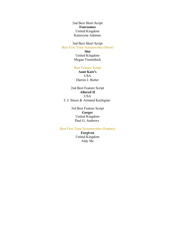2nd Best Short Script **Foursomes** United Kingdom Katarzyna Adamus

3nd Best Short Script Best First Time Screenwriter (Short)

**Slot** United Kingdom Megan Tremethick

# Best Feature Script

**Aunt Kate's** USA Darren J. Butler

2nd Best Feature Script **Allured II** USA C.J. Stussi & Armand Kachigian

> 3rd Best Feature Script **Gorger** United Kingdom Paul G. Andrews

### Best First Time Screenwritter (Feature)

**Forgiven** United Kingdom Aidy Mc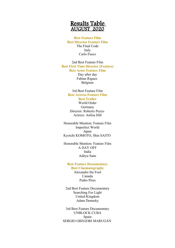# Results Table AUGUST 2020

## **Best Feature Film Best Director Feature Film** The Final Code Italy Carlo Fusco

2nd Best Feature Film **Best First Time Director (Feature)**

**Best Actor Feature Film**

Day after day Fabian Rigaux Belgium

# 3rd Best Feature Film **Best Actress Feature Film**

**Best Trailer** World Order Germany

Director: Roberto Puzzo Actress: Anfisa Hill

Honorable Mention: Feature Film Imperfect World Japan Kyoichi KOMOTO, Shin SAITO

Honorable Mention: Feature Film A DAY OFF India Aditya Sane

# **Best Feature Documentary**

**Best Cinematography** Alexandre the Fool Canada Pedro Pires

2nd Best Feature Documentary Searching For Light United Kingdom Adam Donneky

3rd Best Feature Documentary UNBLOCK CUBA Spain SERGIO GREGORI MARUGÁN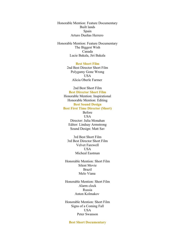Honorable Mention: Feature Documentary Built lands Spain Arturo Dueñas Herrero

Honorable Mention: Feature Documentary The Biggest Wish Canada Lucie Bakala, Jiri Bakala

#### **Best Short Film**

2nd Best Director Short Film Polygamy Gone Wrong USA Alicia Oberle Farmer

2nd Best Short Film **Best Director Short Film** Honorable Mention: Inspirational Honorable Mention: Editing **Best Sound Design Best First Time Director (Short)** Before USA Director: Julia Monahan Editor: Lindsay Armstrong Sound Design: Matt Sav

3rd Best Short Film 3rd Best Director Short Film Velvet Farewell **USA** Micheal Eastman

Honorable Mention: Short Film Silent Movie Brazil Melo Viana

Honorable Mention: Short Film Alarm clock Russia Anton Kolmakov

Honorable Mention: Short Film Signs of a Coming Fall **USA** Peter Swanson

#### **Best Short Documentary**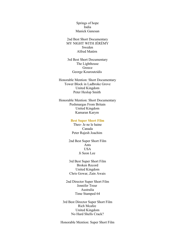Springs of hope India Manick Ganesan

2nd Best Short Documentary MY NIGHT WITH JÉRÉMY Sweden Alfred Matérn

3rd Best Short Documentary The Lighthouse Greece George Kouroutzidis

Honorable Mention: Short Documentary Tower Block in Ladbroke Grove United Kingdom Peter Heslop Smith

Honorable Mention: Short Documentary Peshmargas From Britain United Kingdom Kamaran Karym

### **Best Super Short Film**

Theo- Je ne le haine Canada Peter Rajesh Joachim

2nd Best Super Short Film Ants USA Ji Seon Lee

3rd Best Super Short Film Broken Record United Kingdom Chris Gowar, Zain Awais

2nd Director Super Short Film Jennifer Treur Australia Time Stamped 64

3rd Best Director Super Short Film Rich Mcafee United Kingdom No Hard Shells Crack?

Honorable Mention: Super Short Film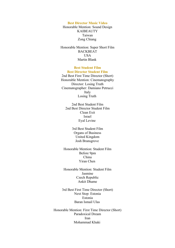#### **Best Director Music Video**

Honorable Mention: Sound Design KAIBEAUTY Taiwan Zong Chiang

Honorable Mention: Super Short Film BACKBEAT **USA** Martin Blank

#### **Best Student Film Best Director Student Film**

2nd Best First Time Director (Short) Honorable Mention: Cinematography Director: Losing Truth Cinematographer: Damiano Petrucci Italy Losing Truth

2nd Best Student Film 2nd Best Director Student Film Clean Exit Israel Eyal Levine

> 3rd Best Student Film Organs of Business United Kingdom Josh Bransgrove

Honorable Mention: Student Film Before 9pm China Yiran Chen

Honorable Mention: Student Film Jasmine Czech Republic Ankit Dhame

3rd Best First Time Director (Short) Next Stop: Estonia Estonia Baran Ismail Ulas

Honorable Mention: First Time Director (Short) Paradoxical Dream Iran Mohammad Khaki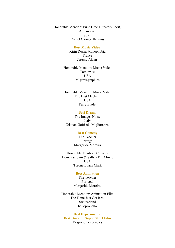Honorable Mention: First Time Director (Short) Aurembiaix Spain Daniel Carnicé Bernaus

#### **Best Music Video**

Kirin Dosha Monophobia France Jeremy Aidan

Honorable Mention: Music Video Tomorrow USA Migrovegraphics

Honorable Mention: Music Video The Last Macbeth **USA** Terry Blade

#### **Best Drama**

The Images Noise Italy Cristian Goffredo Miglioranza

#### **Best Comedy**

The Teacher Portugal Margarida Moreira

Honorable Mention: Comedy Homeless Sam & Sally - The Movie USA Tyrone Evans Clark

### **Best Animation**

The Teacher Portugal Margarida Moreira

Honorable Mention: Animation Film The Fame Just Got Real Switzerland bellopropello

**Best Experimental Best Director Super Short Film** Despotic Tendencies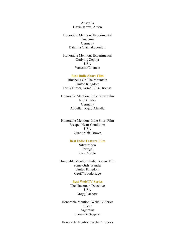Australia Gavin Jarrett, Anton

Honorable Mention: Experimental Pandemia Germany Katerina Giannakopoulou

Honorable Mention: Experimental Outlying Zephyr **USA** Vanessa Coleman

### **Best Indie Short Film**

Bluebells On The Mountain United Kingdom Louis Turner, Jarrad Ellis-Thomas

Honorable Mention: Indie Short Film Night Talks Germany Abdullah Rajab Almalla

Honorable Mention: Indie Short Film Escape: Heart Conditions USA Quantieshia Brown

### **Best Indie Feature Film**

SilverMoon Portugal Joao Castelo

Honorable Mention: Indie Feature Film Some Girls Wander United Kingdom Geoff Woodbridge

#### **Best Web/TV Series**

The Uncertain Detective USA Gregg Lachow

Honorable Mention: Web/TV Series Silent Argentina Leonardo Saggese

Honorable Mention: Web/TV Series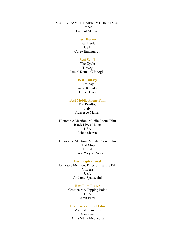MARKY RAMONE MERRY CHRISTMAS France Laurent Mercier

#### **Best Horror**

Lies Inside USA Corey Emanuel Jr.

### **Best Sci-fi**

The Cycle Turkey Ismail Kemal Ciftcioglu

### **Best Fantasy**

Birthday United Kingdom Oliver Bury

### **Best Mobile Phone Film**

The Rooftop Italy Francesco Maffei

Honorable Mention: Mobile Phone Film Black Lives Matter USA Ashna Sharan

Honorable Mention: Mobile Phone Film Next Stop Brazil Florence Weyne Robert

#### **Best Inspirational**

Honorable Mention: Director Feature Film Viscera USA Anthony Spadaccini

#### **Best Film Poster**

Crosshair: A Tipping Point USA Amit Patel

#### **Best Slovak Short Film**

Maze of memories Slovakia Anna Mária Medvecká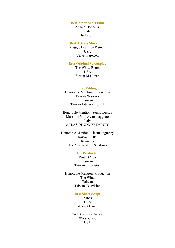#### **Best Actor Short Film**

Angelo Donzella Italy Isolation

# **Best Actress Short Film**

Maggie Bearmon Pistner USA Velvet Farewell

### **Best Original Screenplay**

The White Room USA Steven M Ulman

#### **Best Editing**

Honorable Mention: Production Taiwan Warriors Taiwan Taiwan Lita Warriors: 1

Honorable Mention: Sound Design Massimo Vito Avamntaggiato Italy ATLAS OF UNCERTAINTY

Honorable Mention: Cinematography Razvan ILIE Romania The Vision of the Shadows

### **Best Production**

Protect You Taiwan Taiwan Television

Honorable Mention: Production The Wind Taiwan Taiwan Television

### **Best Short Script**

Ashes **USA** Alicia Ocana

2nd Best Short Script Worst Critic USA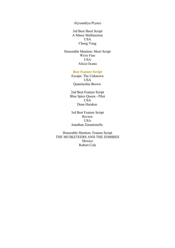Alyxandrya Prynce

3rd Best Short Script A Minor Malfunction USA Cheng Yang

Honorable Mention: Short Script We're Fine USA Alicia Ocana

#### **Best Feature Script**

Escape: The Unknown USA Quantieshia Brown

2nd Best Feature Script Blue Spice Queen - Pilot USA Dean Harakas

3rd Best Feature Script Review USA Jonathan Zarantonello

Honorable Mention: Feature Script THE MUSKETEERS AND THE ZOMBIES Mexico Robert Cole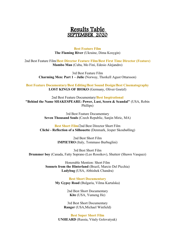# Results Table SEPTEMBER 2020

**Best Feature Film The Flaming River** (Ukraine, Dima Kosygin)

2nd Best Feature Film/**Best Director Feature Film/Best First Time Director (Feature) Mambo Man** (Cuba, Mo Fini, Edesio Alejandro)

> 3rd Best Feature Film **Charming Men: Part 1 – Julie** (Norway, Thorkell Agust Ottarsson)

**Best Feature Documentary/Best Editing/Best Sound Design/Best Cinematography LOST KINGS OF BIOKO** (Germany, Oliver Goetzl)

2nd Best Feature Documentary/**Best Inspirational "Behind the Name SHAKESPEARE: Power, Lust, Scorn & Scandal"** (USA, Robin Phillips)

> 3rd Best Feature Documentary **Seven Thousand Souls** (Czech Republic, Sanjin Miric, MA)

**Best Short Film/**2nd Best Director Short Film **Cliché - Reflection of a Silhouette** (Denmark, Jesper Skoubølling)

> 2nd Best Short Film **IMPIETRO** (Italy, Tommaso Burbuglini)

3rd Best Short Film **Drummer boy** (Canada, Fatty Soprano (Leo Rossikov), Shutterr (Shawn Vasquez)

> Honorable Mention: Short Film **Sonnets from the Hinterland** (Brazil, Marcio Del Picchia) **Ladybug** (USA, Abhishek Chandra)

> > **Best Short Documentary My Gypsy Road** (Bulgaria, Vilma Kartalska)

> > > 2nd Best Short Documentary **Kite** (USA, Yumeng He)

3rd Best Short Documentary **Ranger** (USA,Michael Winfield)

**Best Super Short Film UNHEARD** (Russia, Vitaly Golovatyuk)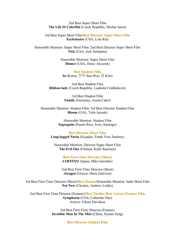2nd Best Super Short Film **The Life IS Colorflul** (Czech Republic, Michal Janos)

3rd Best Super Short Film/**Best Director Super Short Film Ecclesiastes** (USA, Lola Rùi)

Honorable Mention: Super Short Film/ 2nd Best Director Super Short Film **Tick** (USA, Jack Settipane)

> Honorable Mention: Super Short Film **Dinner** (USA, Deniz Akyurek)

**Best Student Film In** (Korea, 선우 Sun-Woo 김 Kim)

2nd Best Student Film **Ribbon lady** (Czech Republic, Ludmila Cimbůrková)

> 3rd Best Student Film **Family** (Germany, Asena Cakir)

Honorable Mention: Student Film/ 3rd Best Director Student Film **Bloom** (USA, Talia Jacnuk)

> Honorable Mention: Student Film **Segregatio** (Puerto Rico, Jowy Santiago)

**Best Director Short Film Long-legged Nuria** (Ecuador, Frank Vera Jiménez)

Honorable Mention: Director Super Short Film **The Evil One** (Finland, Kalle Saarinen)

> **Best First-Time Director (Short) COFFINS!** (Spain, Miki Garofalo)

2nd Best First-Time Director (Short) **Atropos** (Greece, Haris Zalavras)

3rd Best First-Time Director (Short)/**Best Drama**/Honorable Mention: Indie Short Film **Not Now** (Ukraine, Andrew Liulko)

2nd Best First Time Director (Feature)/**Best Thriller/Best Actress Feature Film Symphoria** (USA, Catherine Dao) Actress: Eileen Davidson

> 3rd Best First-Time Director (Feature) **Invisible Man In The Mist** (China, Siyuan Zeng)

> > **Best Director Student Film**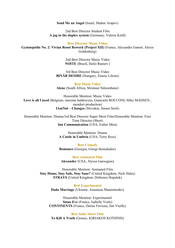**Send Me an Angel** (Israel, Shahar Arapov)

2nd Best Director Student Film **A jag in the duplex system** (Germany, Valerie Knill)

**Best Director Music Video**

**Gymnopédie No. 2: Vivian Roost Rework (Project XII)** (France, Alexandre Gamot, Alexis Goldenberg)

> 2nd Best Director Music Video **NOITE** (Brazil, Helio Ranieri )

3rd Best Director Music Video **BINÄR DESIRE** (Hungary, Emese Liliom)

**Best Music Video Alene** (South Africa, Mzimasi Ndzombane)

Honorable Mention: Music Video **Love is all I need** (Belgium, maxime baldewyns, Giancarlo ROCCONI, Mike MADSEN , mendori production) **IAmNøt – Changes** (Slovakia, Simon Seriš)

Honorable Mention: Drama/3rd Best Director Super Short Film/Honorable Mention: First Time Director (Short) **Inn Communication** (USA, Esther Mira)

> Honorable Mention: Drama **A Castle in Umbria** (USA, Terry Ross)

> **Best Comedy Romance** (Georgia, Giorgi tkemaladze)

**Best Animated Film Alexander** (USA, Alyssa Garoogian)

Honorable Mention: Animated Film **Stay Home, Stay Safe, Stay Sane?** (United Kingdom, Nick Hales) **STRAYS** (United Kingdom, Dobrawa Hopaluk)

> **Best Experimental Dada Marriage** (Ukraine, Anastasia Mamontenko)

Honorable Mention: Experimental **Stone Eve** (France, Isabelle Vorle) **CONTINENTS** (France, Darius Favreau, Jim Vieille)

**Best Indie Short Film To Kill A Truth** (Greece, KIRIAKOS KOTSINIS)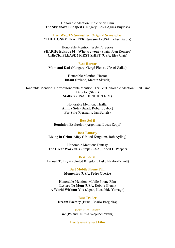Honorable Mention: Indie Short Film **The Sky above Budapest** (Hungary, Erika Ágnes Bujdosó)

**Best Web/TV Series/Best Original Screenplay "THE HONEY TRAPPER" Season 2** (USA, Felise Garcia)

Honorable Mention: Web/TV Series **SHARIF: Episode 01 - Who are you?** (Spain, Joan Romero) **CHECK, PLEASE ! FIRST SHIFT** (USA, Elea Clair)

**Best Horror Mom and Dad** (Hungary, Gergő Elekes, József Gallai)

> Honorable Mention: Horror **Infant** (Ireland, Marcin Skruch)

Honorable Mention: Horror/Honorable Mention: Thriller/Honorable Mention: First Time Director (Short) **Stalkers** (USA, DONGJUN KIM)

> Honorable Mention: Thriller **Anima Sola** (Brazil, Roberto Jabor) **For Sale** (Germany, Jan Bartels)

**Best Sci-fi Dominion Evolucion** (Argentina, Lucas Zoppi)

**Best Fantasy Living in Crime Alley** (United Kingdom, Rob Ayling)

Honorable Mention: Fantasy **The Great Work in 33 Steps** (USA, Robert L. Pepper)

**Best LGBT Turned To Light** (United Kingdom, Luke Naylor-Perrott)

> **Best Mobile Phone Film Momentos** (USA, Pedro Oberto)

Honorable Mention: Mobile Phone Film **Letters To Mom** (USA, Robbie Glenn) **A World Without You** (Japan, Katsuhide Yamago)

**Best Trailer Dream Factory** (Brazil, Mario Bregieira)

**Best Film Poster we** (Poland, Juliusz Wojciechowski)

**Best Slovak Short Film**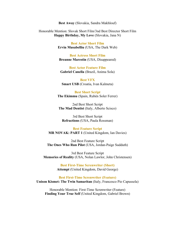**Best Away** (Slovakia, Sandra Makhlouf)

Honorable Mention: Slovak Short Film/3nd Best Director Short Film **Happy Birthday, My Love** (Slovakia, Jana N)

> **Best Actor Short Film Ervin Musabelliu** (USA, The Dark Web)

**Best Actress Short Film Breanne Marestin** (USA, Disappeared)

**Best Actor Feature Film Gabriel Canella** (Brazil, Anima Sola)

**Best VFX Smart USB** (Croatia, Ivan Kalmeta)

**Best Short Script The Ekimmu** (Spain, Rubén Soler Ferrer)

2nd Best Short Script **The Mad Dentist** (Italy, Alberto Scisco)

3rd Best Short Script **Refractions** (USA, Paula Rossman)

#### **Best Feature Script**

**MR NOVAK: PART 1** (United Kingdom, Ian Davies)

2nd Best Feature Script **The Ones Who Run Pilot** (USA, Jordan-Paige Sudduth)

3rd Best Feature Script **Memories of Reality** (USA, Nolan Lawlor, John Christensen)

> **Best First-Time Screnwriter (Short) Attempt** (United Kingdom, David George)

**Best First-Time Screnwriter (Feature) Unison Kismet: The Twin Samaritan** (Italy, Francesco Pio Capussela)

Honorable Mention: First-Time Screnwriter (Feature) **Finding Your True Self** (United Kingdom, Gabriel Brown)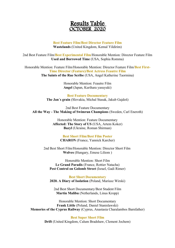# Results Table OCTOBER 2020

# **Best Feature Film/Best Director Feature Film Wastelands** (United Kingdom, Kemal Yildirim)

2nd Best Feature Film/**Best Experimental Film**/Honorable Mention: Director Feature Film **Used and Borrowed Time** (USA, Sophia Romma)

Honorable Mention: Feature Film/Honorable Mention: Director Feature Film/**Best First-Time Director (Feature)/Best Actress Feautre Film The Saints of the Rue Scribe** (USA, Angel Katherine Taormina)

> Honorable Mention: Feautre Film **Angel** (Japan, Kurihara yasuyuki)

**Best Feature Documentary The Jan´s grain** (Slovakia, Michal Stasak, Jakub Gajdoš)

2nd Best Feature Documentary **All the Way - The Making of Swimrun Champions** (Sweden, Carl Eneroth)

> Honorable Mention: Feature Documentary **Affected: The Story of US** (USA, Artem Koker) **Bazyl** (Ukraine, Roman Shirman)

> > **Best Short Film/Best Film Poster CHARON** (France, Yannick Karcher)

2nd Best Short Film/Honorable Mention: Director Short Film **Wolves** (Hungary, Emese Liliom )

Honorable Mention: Short Film **Le Grand Paradis** (France, Rottier Natacha) Pest Control on Golomb Street (Israel, Gadi Rimer)

**Best Short Documentary 2020. A Diary of Isolation** (Poland, Mariusz Wirski)

2nd Best Short Documentary/Best Student Film **Martin Malibu** (Netherlands, Linus Kropp)

Honorable Mention: Short Documentary **Frank Little** (Poland, Daniel Stanislawski) **Memories of the Cyprus Railway** (Cyprus, Anastasia Charalambos Barnfather)

> **Best Super Short Film Drift** (United Kingdom, Calum Bradshaw, Clement Jochem)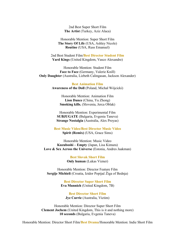2nd Best Super Short Film **The Artist** (Turkey, Aziz Alaca)

Honorable Mention: Super Short Film **The Story Of Life** (USA, Ashley Nicole) **Routine** (USA, Russ Emanuel)

2nd Best Student Film/**Best Director Student Film Yard Kings** (United Kingdom, Vasco Alexandre)

Honorable Mention: Student Film **Face to Face** (Germany, Valerie Knill) **Only Daughter** (Australia, Lizbeth Calingasan, Jackson Alexander)

> **Best Animation Film Awareness of the Doll** (Poland, Michał Wójcicki)

> > Honorable Mention: Animation Film **Lion Dance** (China, Yu Zhong) **Smoking kills.** (Slovenia, Jerca Oblak)

Honorable Mention: Experimental Film **SUBJUGATE** (Bulgaria, Evgenia Taneva) **Strange Nostalgia** (Australia, Alex Proyas)

**Best Music Video/Best Director Music Video Spirit (Remix)** (USA, Grace Sims)

Honorable Mention: Music Video **Kuzuboshi – Empty** (Japan, Lisa Kimura) **Love & Sex Across the Universe** (Estonia, Andres Jaakman)

> **Best Slovak Short Film Only human** (Lukas Vizner)

Honorable Mention: Director Feature Film **Sergije Michieli** (Croatia, Izidor Popijač Žiga of Bednja)

> **Best Director Super Short Film Eva Munnich** (United Kingdom, 7B)

**Best Director Short Film Jye Currie** (Australia, Victim)

Honorable Mention: Director Super Short Film **Clement Jochem** (United Kingdom, This is it and nothing more) **10 seconds** (Bulgaria, Evgenia Taneva)

Honorable Mention: Director Short Film/**Best Drama**/Honorable Mention: Indie Short Film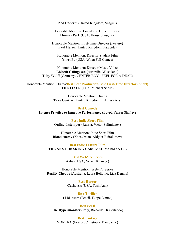**Ned Caderni** (United Kingdom, Seagull)

Honorable Mention: First-Time Director (Short) **Thomas Peck** (USA, House Slaughter)

Honorable Mention: First-Time Director (Feature) **Paul Heron** (United Kingdom, Paracide)

Honorable Mention: Director Student Film **Yiwei Pu** (USA, When Fall Comes)

Honorable Mention: Director Music Video **Lizbeth Calingasan** (Australia, Wasteland) **Toby Wulff** (Germany, CENTER BOY - FEEL FOR A DEAL)

Honorable Mention: Drama/**Best Best Production/Best First-Time Director (Short) THE FIXER** (USA, Michael Schilf)

> Honorable Mention: Drama **Take Control** (United Kingdom, Luke Walters)

**Best Comedy Intense Practice to Improve Performance** (Egypt, Yasser Shafiey)

> **Best Indie Short Film Online-distemper** (Russia, Victor Salimianov)

Honorable Mention: Indie Short Film **Blood enemy** (Kazakhstan, Aldyiar Bairakimov)

**Best Indie Feature Film THE NEXT HEARING** (India, MAHIVARMAN.CS)

> **Best Web/TV Series Ashes** (USA, Neriah Kharece)

Honorable Mention: Web/TV Series **Reality Cheque** (Australia, Laura Bellomo, Liza Dennis)

> **Best Horror Catharsis** (USA, Tash Ann)

**Best Thriller 11 Minutes** (Brazil, Felipe Lemos)

**Best Sci-fi The Hypermonster** (Italy, Riccardo Di Gerlando)

**Best Fantasy VORTEX** (France, Christophe Karabache)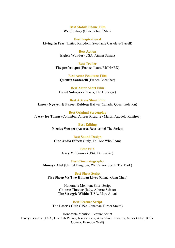**Best Mobile Phone Film We the Jury** (USA, John C Mai)

**Best Inspirational Living In Fear** (United Kingdom, Stephanie Castelete-Tyrrell)

> **Best Action Eighth Wonder** (USA, Aiman Samat)

**Best Trailer The perfect spot** (France, Laura RICHARD)

**Best Actor Feauture Film Quentin Santarelli** (France, Meet her)

**Best Actor Short Film Daniil Solovyev** (Russia, The Birdcage)

**Best Actress Short Film Emery Nguyen & Puneet Kuldeep Bajwa** (Canada, Queer Isolation)

**Best Original Screenplay A way for Tomás** (Colombia, Andrés Ricaurte / Martín Agudelo Ramírez)

> **Best Editing Nicolas Werner** (Austria, Beer-tastic! The Series)

**Best Sound Design Cine Audio Effects** (Italy, Tell Me Who I Am)

> **Best VFX Gary M. Sanner** (USA, Derivative)

**Best Cinematography Monaya Abel** (United Kingdom, We Cannot See In The Dark)

**Best Short Script Five Sheep VS Two Human Lives** (China, Gang Chen)

> Honorable Mention: Short Script **Chinese Theater** (Italy, Alberto Scisco) **The Struggle Within** (USA, Marc Allen)

**Best Feature Script The Loser's Club** (USA, Jonathan Turner Smith)

Honorable Mention: Feature Script **Party Crasher** (USA, Jedediah Parker, Jessica Katz, Amandine Edwards, Azeez Gabsi, Kobe Gomez, Brandon Wall)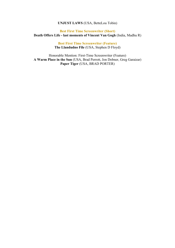### **UNJUST LAWS** (USA, BetteLou Tobin)

# **Best First Time Screenwriter (Short) Death Offers Life - last moments of Vincent Van Gogh** (India, Madhu R)

**Best First Time Screenwriter (Feature) The Llandudno File** (USA, Stephen D Floyd)

Honorable Mention: First-Time Screenwriter (Feature) **A Warm Place in the Sun** (USA, Brad Perrott, Jon Dobner, Greg Garaizar) **Paper Tiger** (USA, BRAD PORTER)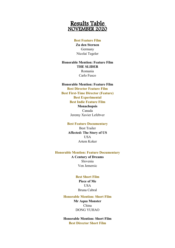# Results Table NOVEMBER 2020

### **Best Feature Film**

**Zu den Sternen** Germany Nicolai Tegeler

# **Honorable Mention: Feature Film THE SLIDER** Romania Carlo Fusco

### **Honorable Mention: Feature Film**

**Best Director Feature Film Best First-Time Director (Feature) Best Experimental Best Indie Feature Film Monachopsis** Canada Jeremy Xavier Lefebver

#### **Best Feature Documentary**

Best Trailer **Affected: The Story of US** USA Artem Koker

#### **Honorable Mention: Feature Documentary**

**A Century of Dreams** Slovenia Ven Jemersic

### **Best Short Film**

**Piece of Me** USA Bruna Cabral

# **Honorable Mention: Short Film**

**Mr Aqua Monster** China DONG YUHAO

**Honorable Mention: Short Film Best Director Short Film**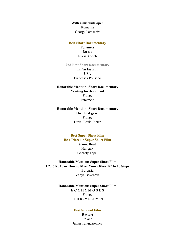**With arms wide open** Romania George Paraschiv

#### **Best Short Documentary**

**Polymers** Russia Nikas Kotich

**2nd Best Short Documentary**

# **In An Instant USA** Francesca Poliseno

# **Honorable Mention: Short Documentary Waiting for Jean Paul** France Pater/Son

**Honorable Mention: Short Documentary The third grace** France Duval Louis-Pierre

> **Best Super Short Film Best Director Super Short Film #GoodDeed** Hungary Gergely Tápai

**Honorable Mention: Super Short Film 1,2...7,8...10 or How to Meet Your Other 1/2 In 10 Steps** Bulgaria Vanya Boycheva

> **Honorable Mention: Super Short Film E C C H Y M O S E S** France THIERRY NGUYEN

# **Best Student Film Restart** Poland Julian Tałandziewicz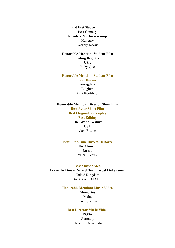2nd Best Student Film Best Comedy **Revolver & Chicken soup** Hungary Gergely Kocsis

# **Honorable Mention: Student Film Fading Brighter** USA Ruby Que

# **Honorable Mention: Student Film Best Horror Amygdala** Belgium Brent Roofthooft

### **Honorable Mention: Director Short Film**

**Best Actor Short Film Best Original Screenplay Best Editing The Grand Gesture USA** Jack Brame

#### **Best First-Time Director (Short)**

**The Clone…** Russia Valerii Petrov

#### **Best Music Video**

**Travel In Time - Renard (feat. Pascal Finkenauer)** United Kingdom BABIS ALEXIADIS

#### **Honorable Mention: Music Video**

**Memories** Malta Jeremy Vella

# **Best Director Music Video ROSA** Germany Efstathios Avramidis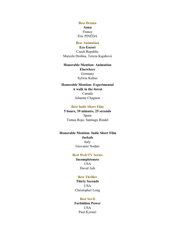**Best Drama Anna** France Éric PINÉDA

### **Best Animation**

**Eco Escort** Czech Republic Marcela Drobna, Tereza Kajabová

# **Honorable Mention: Animation Elsewhere** Germany Sylwia Kubus

# **Honorable Mention: Experimental A walk in the forest** Canada Johanne Chagnon

#### **Best Indie Short Film**

**5 hours, 39 minutes, 25 seconds** Spain Tomas Rojo, Santiago Rindel

# **Honorable Mention: Indie Short Film Jackals** Italy Giovanni Nodari

#### **Best Web/TV Series**

**Incompleteness USA** David Ash

# **Best Thriller**

**Thirty Seconds** USA Christopher Long

# **Best Sci-fi**

**Forbidden Power** USA Paul Kyriazi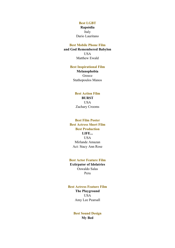### **Best LGBT**

**Rapsòdia** Italy Dario Lauritano

#### **Best Mobile Phone Film**

**and God Remembered Babylon** USA Matthew Ewald

## **Best Inspirational Film**

**Melanophobia** Greece Stathopoulos Manos

# **Best Action Film BURST** USA Zachary Crooms

# **Best Film Poster Best Actress Short Film Best Production LIFE...** USA Mirlande Amazan Act: Stacy Ann Rose

# **Best Actor Feature Film**

**Extirpator of Idolatries** Oswaldo Salas Peru

### **Best Actress Feature Film**

**The Playground** USA Amy Lee Pearsall

# **Best Sound Design My Bed**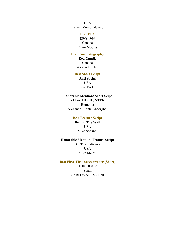USA Lauren Vroegindewey

# **Best VFX**

**UFO-1996** Canada Flynn Moores

# **Best Cinematography**

**Red Candle** Canada Alexander Han

### **Best Short Script**

**Anti Social USA** Brad Porter

# **Honorable Mention: Short Scipt ZEDA THE HUNTER**

Romonia Alexandru Ranta Gheorghe

# **Best Feature Script**

**Behind The Wall** USA Mike Sorrinni

**Honorable Mention: Feature Script All That Glitters** USA Mike Meier

**Best First-Time Screenwriter (Short) THE DOOR** Spain CARLOS ALEX CENI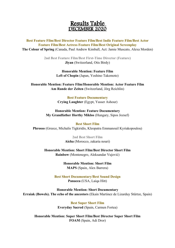# Results Table DECEMBER 2020

**Best Feature Film/Best Director Feature Film/Best Indie Feature Film/Best Actor Feature Film/Best Actress Feature Film/Best Original Screenplay The Colour of Spring** (Canada, Paul Andrew Kimball, Act: Jamie Muscato, Alexa Morden)

> **2nd Best Feature Film/Best First-Time Director (Feature) Jiyan** (Switzerland, Otis Birdy)

> > **Honorable Mention: Feature Film Left of Chopin** (Japan, Yoshino Takemoto)

**Honorable Mention: Feature Film/Honorable Mention: Actor Feature Film Am Rande der Zeiten** (Switzerland, Jörg Reichlin)

> **Best Feature Documentary Crying Laughter** (Egypt, Yasser Ashour)

**Honorable Mention: Feature Documentary My Grandfather Horthy Miklos** (Hungary, Sipos Jozsef)

**Best Short Film Phrosso** (Greece, Michalis Tigkiridis, Kleopatra Emmanouil Kyriakopoulou)

> **2nd Best Short Film Aicha** (Morocco, zakaria nouri)

**Honorable Mention: Short Film/Best Director Short Film Rainbow** (Montenegro, Aleksandar Vujović)

> **Honorable Mention: Short Film MAPS** (Spain, Alex Barrera)

**Best Short Documentary/Best Sound Design Panacea** (USA, Laiqa Hitt)

**Honorable Mention: Short Documentary Erraiak (Bowels). The echo of the ancestors** (Ekain Martinez de Lizarduy Stürtze, Spain)

> **Best Super Short Film Everyday Sacred** (Spain, Carmen Fortea)

**Honorable Mention: Super Short Film/Best Director Super Short Film FOAM** (Spain, Adi Dror)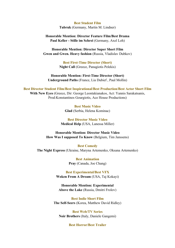#### **Best Student Film**

**Tubruk** (Germany, Martin M. Lindner)

**Honorable Mention: Director Feature Film/Best Drama Paul Keller - Stille im Schrei** (Germany, Axel Loh)

**Honorable Mention: Director Super Short Film Gwen and Gwen. Heavy fashion** (Russia, Vladislav Dubkov)

> **Best First-Time Director (Short) Night Call** (Greece, Panagiotis Pelekis)

**Honorable Mention: First-Time Director (Short) Underground Paths** (France, Lia Dubief , Paul Mollin)

**Best Director Student Film/Best Inspirational/Best Production/Best Actor Short Film With New Eyes** (Greece, Dir: George Leontakianakos, Act: Yannis Sarakatsanis, Prod:Konstantinos Gourgiotis, Ace House Productions)

> **Best Music Video Glad** (Serbia, Helena Kominac)

**Best Director Music Video Medical Help** (USA, Lanessa Miller)

**Honorable Mention: Director Music Video How Was I supposed To Know** (Belgium, Tim Janssens)

**Best Comedy The Night Express** (Ukraine, Maryna Artemenko, Oksana Artemenko)

> **Best Animation Pray** (Canada, Joe Chang)

**Best Experimental/Best VFX Woken From A Dream** (USA, Taj Kokayi)

**Honorable Mention: Experimental Above the Lake** (Russia, Dmitri Frolov)

**Best Indie Short Film The Self-Seers** (Korea, Matthew David Ridley)

**Best Web/TV Series Noir Brothers** (Italy, Daniele Gangemi)

### **Best Horror/Best Trailer**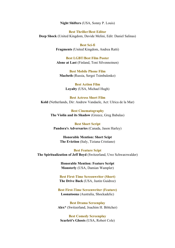**Night Shifters** (USA, Sonny P. Louis)

**Best Thriller/Best Editor Deep Shock** (United Kingdom, Davide Melini, Edit: Daniel Salinas)

> **Best Sci-fi Fragments** (United Kingdom, Andrea Ratti)

> **Best LGBT/Best Film Poster Alone at Last** (Finland, Toni Silvennoinen)

**Best Mobile Phone Film Macbeth** (Russia, Sergei Tsimbalenko)

> **Best Action Film Loyalty** (USA, Michael Hugh)

**Best Actress Short Film Kold** (Netherlands, Dir: Andrew Vandaele, Act: Ulrica de la Mar)

> **Best Cinematography The Violin and its Shadow** (Greece, Greg Babalas)

**Best Short Script Pandora's Adversaries** (Canada, Jason Harley)

**Honorable Mention: Short Scipt The Eviction** (Italy, Tiziana Cristiano)

**Best Feature Scipt The Spiritualization of Jeff Boyd** (Switzerland, Uwe Schwarzwalder)

> **Honorable Mention: Feature Script Monsterly** (USA, Damian Wampler)

**Best First-Time Screenwriter (Short) The Drive Back** (USA, Justin Guidroz)

**Best First-Time Screenwriter (Feature) Loonatoona** (Australia, Shockadelic)

**Best Drama Screenplay Alex\*** (Switzerland, Joachim H. Böttcher)

**Best Comedy Screenplay Scarlett's Ghosts** (USA, Robert Cole)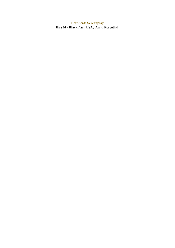**Best Sci-fi Screenplay Kiss My Black Ass** (USA, David Rosenthal)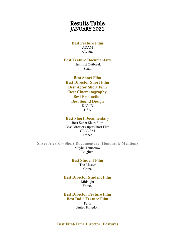# Results Table JANUARY 2021

# **Best Feature Film** ADAM Croatia

# **Best Feature Documentary** The First Outbreak

Spain

**Best Short Film Best Director Short Film Best Actor Short Film Best Cinematography Best Production Best Sound Design** DAVID USA

# **Best Short Documentary**

Best Super Short Film Best Director Super Short Film CELL 364 France

**Silver Award – Short Documentary (Honorable Mention)** Maybe Tomorrow Belgium

> **Best Student Film** The Master China

**Best Director Student Film** Midnight France

**Best Director Feature Film Best Indie Feature Film** Faith United Kingdom

# **Best First-Time Director (Feature)**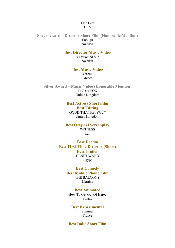# One Left USA

**Silver Award – Director Short Film (Honorable Mention)** Enough Sweden

# **Best Director Music Video**

A Darkened Sun Sweden

# **Best Music Video**

**Circus** Greece

**Silver Award – Music Video (Honorable Mention)** FIND A FOX United Kingdom

# **Best Actress Short Film Best Editing**

GOOD THANKS, YOU? United Kingdom

### **Best Original Screenplay WITNESS** Iran

**Best Drama Best First-Time Director (Short) Best Trailer** HENET WARD Egypt

# **Best Comedy Best Mobile Phone Film** THE BALCONY Ukraine

**Best Animated** How To Get Out Of Here? Poland

# **Best Experimental** Summer France

# **Best Indie Short Film**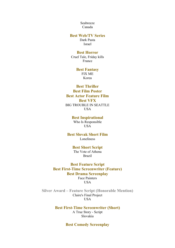Seabreeze Canada

# **Best Web/TV Series**

Dark Pasta Israel

# **Best Horror**

Cruel Tale, Friday kills France

#### **Best Fantasy** FIX ME Korea

# **Best Thriller**

**Best Film Poster Best Actor Feature Film Best VFX** BIG TROUBLE IN SEATTLE USA

# **Best Inspirational**

Who Is Responsible USA

**Best Slovak Short Film** Loneliness

# **Best Short Script**

The Vote of Athena Brazil

**Best Feature Script Best First-Time Screenwriter (Feature) Best Drama Screenplay** Face Painters **USA** 

**Silver Award – Feature Script (Honorable Mention)** Claire's Final Project USA

> **Best First-Time Screenwriter (Short)** A True Story - Script Slovakia

> > **Best Comedy Screenplay**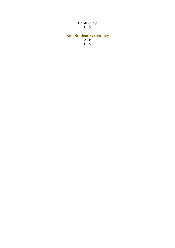### Holiday Help USA

# **Best Student Screenplay** ACE

USA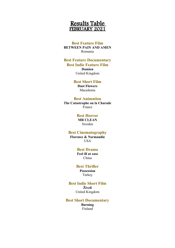# Results Table FEBRUARY 2021

# **Best Feature Film BETWEEN PAIN AND AMEN** Romania

# **Best Feature Documentary Best Indie Feature Film**

**Damien**

United Kingdom

### **Best Short Film Dust Flowers**

Macedonia

# **Best Animation**

**The Catastrophe ou la Charade** France

# **Best Horror**

**MR CLEAN** Sweden

# **Best Cinematography**

**Florence & Normandie** USA

# **Best Drama**

**Feel ill at ease** China

# **Best Thriller**

**Possession** Turkey

# **Best Indie Short Film Živeli**

United Kingdom

# **Best Short Documentary**

**Burning** Finland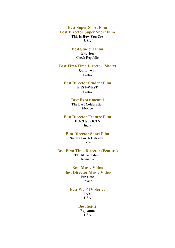**Best Super Short Film Best Director Super Short Film This Is How You Cry** USA

# **Best Student Film**

**Babylon** Czech Republic

# **Best First-Time Director (Short)**

**On my way** Poland

# **Best Director Student Film EAST-WEST**

Poland

# **Best Experimental**

**The Last Celebration** Mexico

### **Best Director Feature Film HOCUS FOCUS** India

### **Best Director Short Film Sonata For A Calendar** Peru

# **Best First Time Director (Feature) The Music Island** Romania

# **Best Music Video Best Director Music Video Firstime** Poland

# **Best Web/TV Series I AM** USA

### **Best Sci-fi Fujiyama** USA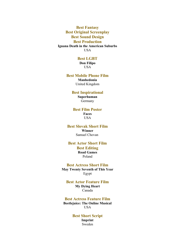**Best Fantasy Best Original Screenplay Best Sound Design Best Production Iguana Death in the American Suburbs** USA

# **Best LGBT**

**Don Filipo** USA

#### **Best Mobile Phone Film**

**Manhedonia** United Kingdom

# **Best Inspirational Superhuman** Germany

### **Best Film Poster Faces** USA

**Best Slovak Short Film Winner**

Samuel Chovan

# **Best Actor Short Film Best Editing Road Games** Poland

# **Best Actress Short Film May Twenty Seventh of This Year**

Egypt

# **Best Actor Feature Film**

**My Dying Heart** Canada

# **Best Actress Feature Film**

**Beetlejuice: The Online Musical** USA

# **Best Short Script Imprint** Sweden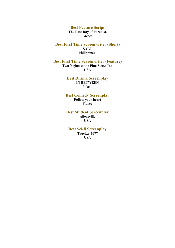**Best Feature Script The Last Day of Paradise** Greece

**Best First Time Screenwriter (Short) SALT** Philippines

**Best First Time Screenwriter (Feature) Two Nights at the Pine Street Inn USA** 

> **Best Drama Screenplay IN BETWEEN** Poland

**Best Comedy Screenplay Follow your heart** France

**Best Student Screenplay Allensville** USA

**Best Sci-fi Screenplay Trucker 3077 USA**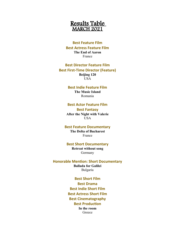

# **Best Feature Film Best Actress Feature Film The End of Aaron** France

# **Best Director Feature Film Best First-Time Director (Feature) Beijing 120** USA

### **Best Indie Feature Film The Music Island** Romania

### **Best Actor Feature Film**

**Best Fantasy After the Night with Valerie USA** 

#### **Best Feature Documentary**

**The Delta of Bucharest** France

### **Best Short Documentary**

**Retreat without song** Germany

**Honorable Mention: Short Documentary Ballada for Galilei** Bulgaria

> **Best Short Film Best Drama Best Indie Short Film Best Actress Short Film Best Cinematography Best Production In the room** Greece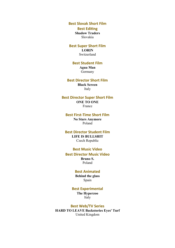**Best Slovak Short Film**

**Best Editing Shadow Traders** Slovakia

**Best Super Short Film LORIN**

Switzerland

# **Best Student Film Agua Man**

Germany

# **Best Director Short Film Black Screen**

Italy

#### **Best Director Super Short Film ONE TO ONE**

France

# **Best First-Time Short Film**

**No Stars Anymore** Poland

# **Best Director Student Film LIFE IS BULLSHIT** Czech Republic

# **Best Music Video**

**Best Director Music Video Bruno S.** Poland

## **Best Animated**

**Behind the glass** Spain

# **Best Experimental**

**The Hyperzoo** Italy

#### **Best Web/TV Series**

**HARD TO LEAVE Backstories Eyes' Turf** United Kingdom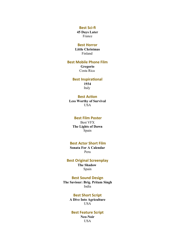#### **Best Sci-fi**

**45 Days Later** France

# **Best Horror**

**Little Christmas** Finland

## **Best Mobile Phone Film**

**Gregorio** Costa Rica

# **Best Inspirational**

**1934** Italy

# **Best Action**

**Less Worthy of Survival** USA

# **Best Film Poster**

Best VFX **The Lights of Dawn** Spain

# **Best Actor Short Film**

**Sonata For A Calendar** Peru

### **Best Original Screenplay**

**The Shadow**  Spain

# **Best Sound Design**

**The Saviour: Brig. Pritam Singh** India

# **Best Short Script**

**A Dive Into Agriculture** USA

### **Best Feature Script Neo-Noir** USA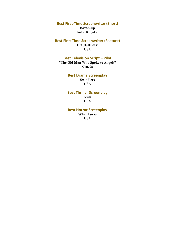**Best First-Time Screenwriter (Short)**

**Boxed-Up** United Kingdom

**Best First-Time Screenwriter (Feature) DOUGHBOY** USA

**Best Television Script – Pilot "The Old Man Who Spoke to Angels"** Canada

# **Best Drama Screenplay Swindlers** USA

**Best Thriller Screenplay Guilt** USA

**Best Horror Screenplay What Lurks** USA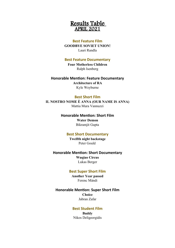

### **Best Feature Film**

**GOODBYE SOVIET UNION!** Lauri Randla

### **Best Feature Documentary**

**Four Motherless Children** Ralph Isenberg

### **Honorable Mention: Feature Documentary**

**Architecture of RA** Kyle Weyburne

## **Best Short Film**

**IL NOSTRO NOME È ANNA (OUR NAME IS ANNA)** Mattia Mura Vannuzzi

# **Honorable Mention: Short Film**

**Water Demon** Bikramjit Gupta

# **Best Short Documentary**

**Twelfth night backstage** Peter Gould

## **Honorable Mention: Short Documentary**

**Wuqiao Circus** Lukas Berger

## **Best Super Short Film**

**Another Year passed** Ferenc Mándi

# **Honorable Mention: Super Short Film**

**Choice** Jabran Zafar

# **Best Student Film**

**Buddy** Nikos Deligeorgidis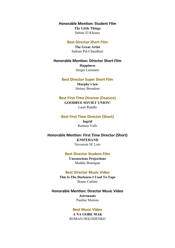**Honorable Mention: Student Film The Little Things**

Sabine El Khoury

# **Best Director Short Film**

**The Great Artist** Indrani Pal-Chaudhuri

# **Honorable Mention: Director Short Film**

**Happiness** Sérgio Leemann

# **Best Director Super Short Film**

**Murphy's law** Jérémy Brondoni

### **Best First Time Director (Feature)**

**GOODBYE SOVIET UNION!** Lauri Randla

### **Best First Time Director (Short)**

**Ingrid** Raimon Valls

**Honorable Mention: First Time Director (Short) KNIFEHAND**

Navarrete M. Luis

# **Best Director Student Film**

**Unconscious Projections** Maddie Branagan

### **Best Director Music Video**

**This Is The Darkness I Used To Tape** Bruno Carletti

**Honorable Mention: Director Music Video Astronauts** Pauline Moreau

# **Best Music Video**

**A NA GORE MAK** ROMAN HOLODENKO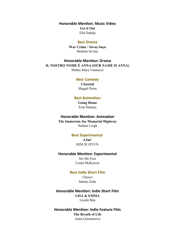**Honorable Mention: Music Video Get it Out** Elia Sadeqi

#### **Best Drama**

**War Crime / Savaş Suçu** ibrahim Sevinc

**Honorable Mention: Drama IL NOSTRO NOME È ANNA (OUR NAME IS ANNA)** Mattia Mura Vannuzzi

### **Best Comedy**

**Closeted** Magali Perra

# **Best Animation**

**Going Home** Tom Denney

### **Honorable Mention: Animation**

**The Immortan Joe Memorial Highway** Nathan Leigh

# **Best Experimental**

**4.5m²** KIM JE HYUN

### **Honorable Mention: Experimental**

Set Me Free Conni McKenzie

### **Best Indie Short Film**

Choice Jabran Zafar

**Honorable Mention: Indie Short Film LISA & EMMA** László Bús

**Honorable Mention: Indie Feature Film The Breath of Life** Anna Gerasimova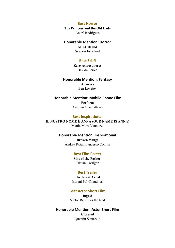### **Best Horror**

**The Princess and the Old Lady** André Rodrigues

### **Honorable Mention: Horror ALLODIUM**

Severin Eskeland

# **Best Sci-fi**

**Zero Atmospheres** Davide Perico

# **Honorable Mention: Fantasy Answers**

Ben Lovejoy

**Honorable Mention: Mobile Phone Film Perforto** Antonio Giannattasio

### **Best Inspirational**

**IL NOSTRO NOME È ANNA (OUR NAME IS ANNA)** Mattia Mura Vannuzzi

# **Honorable Mention: Inspirational Broken Wings** Andrea Rota, Francesco Contini

# **Best Film Poster**

**Sins of the Father**  Tristan Corrigan

# **Best Trailer**

**The Great Artist** Indrani Pal-Chaudhuri

### **Best Actor Short Film**

**Ingrid** Victor Rebull as the lead

# **Honorable Mention: Actor Short Film Closeted** Quentin Santarelli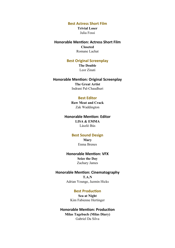**Best Actress Short Film**

**Trivial Loser** Julia Fossi

**Honorable Mention: Actress Short Film Closeted** Romane Lachat

# **Best Original Screenplay**

**The Double** Leor Zinati

# **Honorable Mention: Original Screenplay**

**The Great Artist** Indrani Pal-Chaudhuri

### **Best Editor**

**Raw Meat and Crack** Zak Waddington

### **Honorable Mention: Editor**

**LISA & EMMA** László Bús

## **Best Sound Design**

**Mary** Enma Brenes

# **Honorable Mention: VFX Seize the Day** Zachary James

### **Honorable Mention: Cinematography**

**T.A.N** Adrian Younge, Jazmin Hicks

### **Best Production**

**Sea at Night** Kim Fabienne Hertinger

# **Honorable Mention: Production**

**Milas Tagebuch (Milas Diary)** Gabriel Da Silva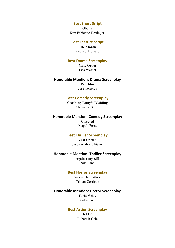### **Best Short Script**

Obolus Kim Fabienne Hertinger

### **Best Feature Script**

**The Moron** Kevin J. Howard

# **Best Drama Screenplay**

**Male Order** Lisa Wassel

# **Honorable Mention: Drama Screenplay Papelitos**

José Terreros

# **Best Comedy Screenplay**

**Crashing Jenny's Wedding** Cheyanne Smith

### **Honorable Mention: Comedy Screenplay**

**Closeted** Magali Perra

# **Best Thriller Screenplay**

**Just Coffee** Jason Anthony Fisher

# **Honorable Mention: Thriller Screenplay Against my will**

Nils Lane

# **Best Horror Screenplay**

**Sins of the Father**  Tristan Corrigan

# **Honorable Mention: Horror Screenplay Father' day** YuLun Wu

# **Best Action Screenplay KLIK** Robert B Cole